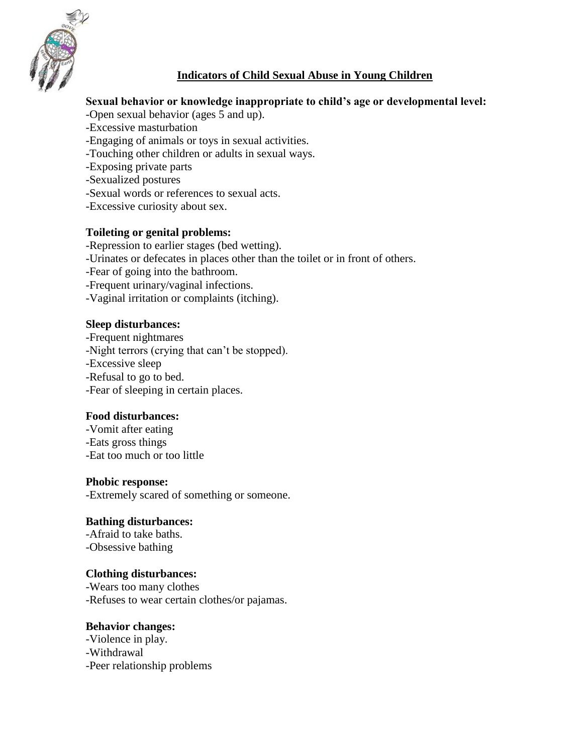

# **Indicators of Child Sexual Abuse in Young Children**

## **Sexual behavior or knowledge inappropriate to child's age or developmental level:**

- -Open sexual behavior (ages 5 and up).
- -Excessive masturbation
- -Engaging of animals or toys in sexual activities.
- -Touching other children or adults in sexual ways.
- -Exposing private parts
- -Sexualized postures
- -Sexual words or references to sexual acts.
- -Excessive curiosity about sex.

## **Toileting or genital problems:**

- -Repression to earlier stages (bed wetting).
- -Urinates or defecates in places other than the toilet or in front of others.
- -Fear of going into the bathroom.
- -Frequent urinary/vaginal infections.
- -Vaginal irritation or complaints (itching).

### **Sleep disturbances:**

-Frequent nightmares -Night terrors (crying that can't be stopped). -Excessive sleep -Refusal to go to bed. -Fear of sleeping in certain places.

## **Food disturbances:**

-Vomit after eating -Eats gross things -Eat too much or too little

### **Phobic response:**

-Extremely scared of something or someone.

### **Bathing disturbances:**

-Afraid to take baths. -Obsessive bathing

### **Clothing disturbances:**

-Wears too many clothes -Refuses to wear certain clothes/or pajamas.

### **Behavior changes:**

-Violence in play. -Withdrawal -Peer relationship problems